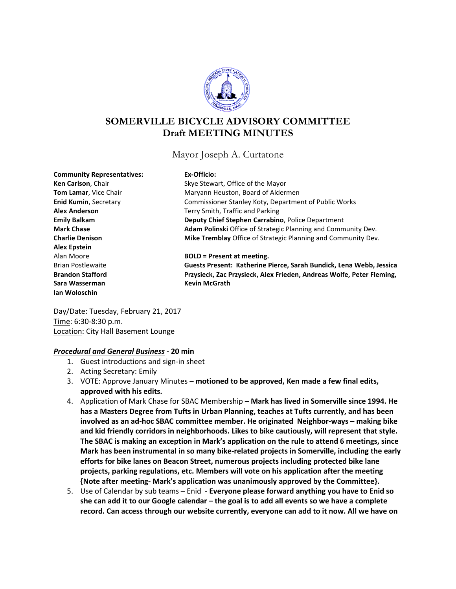

# **SOMERVILLE BICYCLE ADVISORY COMMITTEE Draft MEETING MINUTES**

Mayor Joseph A. Curtatone

| <b>Community Representatives:</b> | Ex-Officio:                |
|-----------------------------------|----------------------------|
| Ken Carlson, Chair                | Skye Stewart, Offic        |
| <b>Tom Lamar, Vice Chair</b>      | Maryann Heuston,           |
| <b>Enid Kumin, Secretary</b>      | Commissioner Stan          |
| <b>Alex Anderson</b>              | Terry Smith, Traffic       |
| <b>Emily Balkam</b>               | <b>Deputy Chief Stepl</b>  |
| <b>Mark Chase</b>                 | <b>Adam Polinski Offi</b>  |
| <b>Charlie Denison</b>            | <b>Mike Tremblay Off</b>   |
| <b>Alex Epstein</b>               |                            |
| Alan Moore                        | <b>BOLD = Present at</b>   |
| <b>Brian Postlewaite</b>          | <b>Guests Present: Ka</b>  |
| <b>Brandon Stafford</b>           | <b>Przysieck, Zac Przy</b> |
| Sara Wasserman                    | <b>Kevin McGrath</b>       |
| lan Woloschin                     |                            |

**Re** of the Mayor **Board of Aldermen Endid Kumins** Koty, Department of Public Works and Parking **hen Carrabino**, Police Department ce of Strategic Planning and Community Dev. **Fice of Strategic Planning and Community Dev.** 

meeting. **atherine Pierce, Sarah Bundick, Lena Webb, Jessica Brands** Statex Frieden, Andreas Wolfe, Peter Fleming,

Day/Date: Tuesday, February 21, 2017 Time: 6:30-8:30 p.m. Location: City Hall Basement Lounge

## *Procedural and General Business -* **20 min**

- 1. Guest introductions and sign-in sheet
- 2. Acting Secretary: Emily
- 3. VOTE: Approve January Minutes **motioned to be approved, Ken made a few final edits, approved with his edits.**
- 4. Application of Mark Chase for SBAC Membership **Mark has lived in Somerville since 1994. He has a Masters Degree from Tufts in Urban Planning, teaches at Tufts currently, and has been involved as an ad-hoc SBAC committee member. He originated Neighbor-ways – making bike and kid friendly corridors in neighborhoods. Likes to bike cautiously, will represent that style. The SBAC is making an exception in Mark's application on the rule to attend 6 meetings, since Mark has been instrumental in so many bike-related projects in Somerville, including the early efforts for bike lanes on Beacon Street, numerous projects including protected bike lane projects, parking regulations, etc. Members will vote on his application after the meeting {Note after meeting- Mark's application was unanimously approved by the Committee}.**
- 5. Use of Calendar by sub teams Enid **Everyone please forward anything you have to Enid so she can add it to our Google calendar – the goal is to add all events so we have a complete record. Can access through our website currently, everyone can add to it now. All we have on**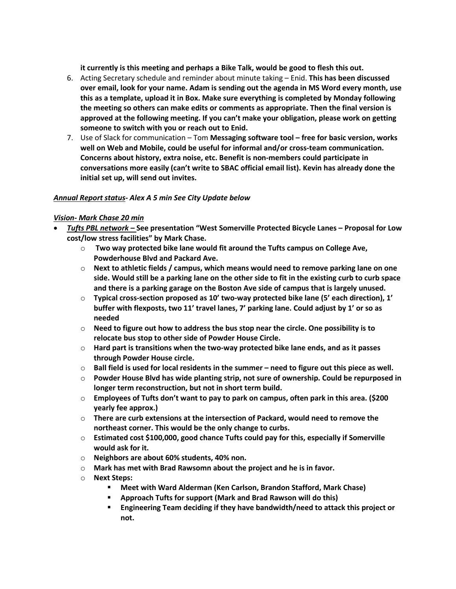**it currently is this meeting and perhaps a Bike Talk, would be good to flesh this out.** 

- 6. Acting Secretary schedule and reminder about minute taking Enid. **This has been discussed over email, look for your name. Adam is sending out the agenda in MS Word every month, use this as a template, upload it in Box. Make sure everything is completed by Monday following the meeting so others can make edits or comments as appropriate. Then the final version is approved at the following meeting. If you can't make your obligation, please work on getting someone to switch with you or reach out to Enid.**
- 7. Use of Slack for communication Tom **Messaging software tool – free for basic version, works well on Web and Mobile, could be useful for informal and/or cross-team communication. Concerns about history, extra noise, etc. Benefit is non-members could participate in conversations more easily (can't write to SBAC official email list). Kevin has already done the initial set up, will send out invites.**

#### *Annual Report status- Alex A 5 min See City Update below*

#### *Vision- Mark Chase 20 min*

- *Tufts PBL network –* **See presentation "West Somerville Protected Bicycle Lanes – Proposal for Low cost/low stress facilities" by Mark Chase.** 
	- o **Two way protected bike lane would fit around the Tufts campus on College Ave, Powderhouse Blvd and Packard Ave.**
	- o **Next to athletic fields / campus, which means would need to remove parking lane on one side. Would still be a parking lane on the other side to fit in the existing curb to curb space and there is a parking garage on the Boston Ave side of campus that is largely unused.**
	- o **Typical cross-section proposed as 10' two-way protected bike lane (5' each direction), 1' buffer with flexposts, two 11' travel lanes, 7' parking lane. Could adjust by 1' or so as needed**
	- o **Need to figure out how to address the bus stop near the circle. One possibility is to relocate bus stop to other side of Powder House Circle.**
	- o **Hard part is transitions when the two-way protected bike lane ends, and as it passes through Powder House circle.**
	- o **Ball field is used for local residents in the summer – need to figure out this piece as well.**
	- o **Powder House Blvd has wide planting strip, not sure of ownership. Could be repurposed in longer term reconstruction, but not in short term build.**
	- o **Employees of Tufts don't want to pay to park on campus, often park in this area. (\$200 yearly fee approx.)**
	- o **There are curb extensions at the intersection of Packard, would need to remove the northeast corner. This would be the only change to curbs.**
	- o **Estimated cost \$100,000, good chance Tufts could pay for this, especially if Somerville would ask for it.**
	- o **Neighbors are about 60% students, 40% non.**
	- o **Mark has met with Brad Rawsomn about the project and he is in favor.**
	- o **Next Steps:** 
		- **Meet with Ward Alderman (Ken Carlson, Brandon Stafford, Mark Chase)**
		- **Approach Tufts for support (Mark and Brad Rawson will do this)**
		- **Engineering Team deciding if they have bandwidth/need to attack this project or not.**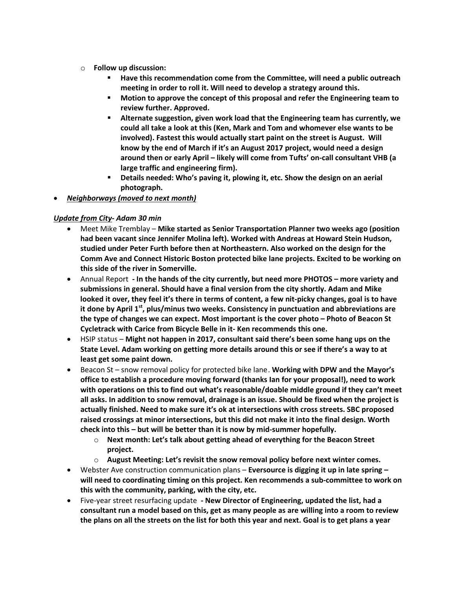- o **Follow up discussion:**
	- **Have this recommendation come from the Committee, will need a public outreach meeting in order to roll it. Will need to develop a strategy around this.**
	- **Motion to approve the concept of this proposal and refer the Engineering team to review further. Approved.**
	- **Alternate suggestion, given work load that the Engineering team has currently, we could all take a look at this (Ken, Mark and Tom and whomever else wants to be involved). Fastest this would actually start paint on the street is August. Will know by the end of March if it's an August 2017 project, would need a design around then or early April – likely will come from Tufts' on-call consultant VHB (a large traffic and engineering firm).**
	- **Details needed: Who's paving it, plowing it, etc. Show the design on an aerial photograph.**
- *Neighborways (moved to next month)*

## *Update from City- Adam 30 min*

- Meet Mike Tremblay **Mike started as Senior Transportation Planner two weeks ago (position had been vacant since Jennifer Molina left). Worked with Andreas at Howard Stein Hudson, studied under Peter Furth before then at Northeastern. Also worked on the design for the Comm Ave and Connect Historic Boston protected bike lane projects. Excited to be working on this side of the river in Somerville.**
- Annual Report **- In the hands of the city currently, but need more PHOTOS – more variety and submissions in general. Should have a final version from the city shortly. Adam and Mike looked it over, they feel it's there in terms of content, a few nit-picky changes, goal is to have it done by April 1st, plus/minus two weeks. Consistency in punctuation and abbreviations are the type of changes we can expect. Most important is the cover photo – Photo of Beacon St Cycletrack with Carice from Bicycle Belle in it- Ken recommends this one.**
- HSIP status **Might not happen in 2017, consultant said there's been some hang ups on the State Level. Adam working on getting more details around this or see if there's a way to at least get some paint down.**
- Beacon St snow removal policy for protected bike lane. **Working with DPW and the Mayor's office to establish a procedure moving forward (thanks Ian for your proposal!), need to work with operations on this to find out what's reasonable/doable middle ground if they can't meet all asks. In addition to snow removal, drainage is an issue. Should be fixed when the project is actually finished. Need to make sure it's ok at intersections with cross streets. SBC proposed raised crossings at minor intersections, but this did not make it into the final design. Worth check into this – but will be better than it is now by mid-summer hopefully.** 
	- o **Next month: Let's talk about getting ahead of everything for the Beacon Street project.**
	- o **August Meeting: Let's revisit the snow removal policy before next winter comes.**
- Webster Ave construction communication plans **Eversource is digging it up in late spring – will need to coordinating timing on this project. Ken recommends a sub-committee to work on this with the community, parking, with the city, etc.**
- Five-year street resurfacing update **- New Director of Engineering, updated the list, had a consultant run a model based on this, get as many people as are willing into a room to review the plans on all the streets on the list for both this year and next. Goal is to get plans a year**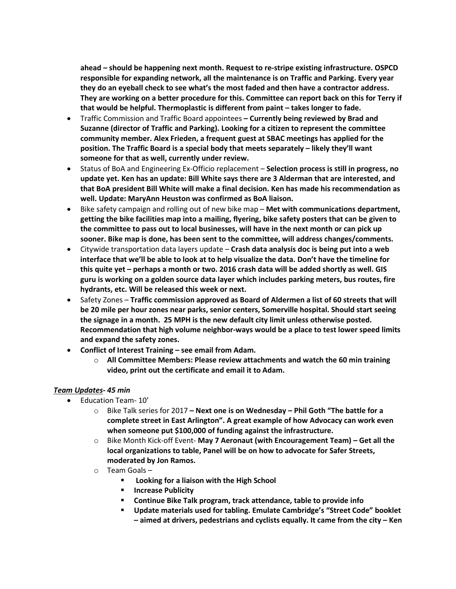**ahead – should be happening next month. Request to re-stripe existing infrastructure. OSPCD responsible for expanding network, all the maintenance is on Traffic and Parking. Every year they do an eyeball check to see what's the most faded and then have a contractor address. They are working on a better procedure for this. Committee can report back on this for Terry if that would be helpful. Thermoplastic is different from paint – takes longer to fade.** 

- Traffic Commission and Traffic Board appointees **– Currently being reviewed by Brad and Suzanne (director of Traffic and Parking). Looking for a citizen to represent the committee community member. Alex Frieden, a frequent guest at SBAC meetings has applied for the position. The Traffic Board is a special body that meets separately – likely they'll want someone for that as well, currently under review.**
- Status of BoA and Engineering Ex-Officio replacement **Selection process is still in progress, no update yet. Ken has an update: Bill White says there are 3 Alderman that are interested, and that BoA president Bill White will make a final decision. Ken has made his recommendation as well. Update: MaryAnn Heuston was confirmed as BoA liaison.**
- Bike safety campaign and rolling out of new bike map **Met with communications department, getting the bike facilities map into a mailing, flyering, bike safety posters that can be given to the committee to pass out to local businesses, will have in the next month or can pick up sooner. Bike map is done, has been sent to the committee, will address changes/comments.**
- Citywide transportation data layers update **Crash data analysis doc is being put into a web interface that we'll be able to look at to help visualize the data. Don't have the timeline for this quite yet – perhaps a month or two. 2016 crash data will be added shortly as well. GIS guru is working on a golden source data layer which includes parking meters, bus routes, fire hydrants, etc. Will be released this week or next.**
- Safety Zones **Traffic commission approved as Board of Aldermen a list of 60 streets that will be 20 mile per hour zones near parks, senior centers, Somerville hospital. Should start seeing the signage in a month. 25 MPH is the new default city limit unless otherwise posted. Recommendation that high volume neighbor-ways would be a place to test lower speed limits and expand the safety zones.**
- **Conflict of Interest Training – see email from Adam.**
	- o **All Committee Members: Please review attachments and watch the 60 min training video, print out the certificate and email it to Adam.**

### *Team Updates- 45 min*

- Education Team- 10'
	- o Bike Talk series for 2017 **– Next one is on Wednesday – Phil Goth "The battle for a complete street in East Arlington". A great example of how Advocacy can work even when someone put \$100,000 of funding against the infrastructure.**
	- o Bike Month Kick-off Event- **May 7 Aeronaut (with Encouragement Team) – Get all the local organizations to table, Panel will be on how to advocate for Safer Streets, moderated by Jon Ramos.**
	- o Team Goals
		- **Looking for a liaison with the High School**
		- **F** Increase Publicity
		- **Continue Bike Talk program, track attendance, table to provide info**
		- **Update materials used for tabling. Emulate Cambridge's "Street Code" booklet – aimed at drivers, pedestrians and cyclists equally. It came from the city – Ken**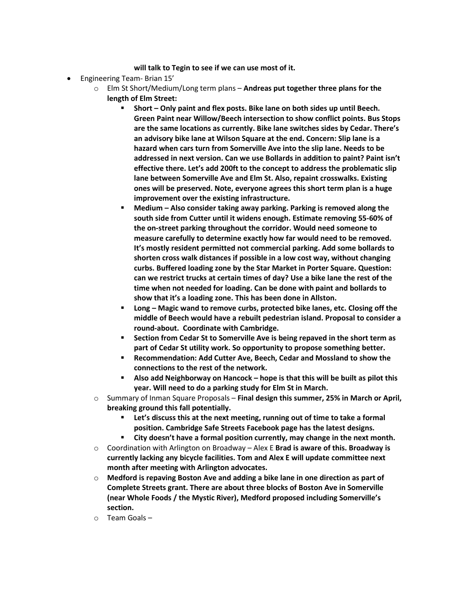#### **will talk to Tegin to see if we can use most of it.**

- Engineering Team- Brian 15'
	- o Elm St Short/Medium/Long term plans **Andreas put together three plans for the length of Elm Street:**
		- **Short – Only paint and flex posts. Bike lane on both sides up until Beech. Green Paint near Willow/Beech intersection to show conflict points. Bus Stops are the same locations as currently. Bike lane switches sides by Cedar. There's an advisory bike lane at Wilson Square at the end. Concern: Slip lane is a hazard when cars turn from Somerville Ave into the slip lane. Needs to be addressed in next version. Can we use Bollards in addition to paint? Paint isn't effective there. Let's add 200ft to the concept to address the problematic slip lane between Somerville Ave and Elm St. Also, repaint crosswalks. Existing ones will be preserved. Note, everyone agrees this short term plan is a huge improvement over the existing infrastructure.**
		- **Medium – Also consider taking away parking. Parking is removed along the south side from Cutter until it widens enough. Estimate removing 55-60% of the on-street parking throughout the corridor. Would need someone to measure carefully to determine exactly how far would need to be removed. It's mostly resident permitted not commercial parking. Add some bollards to shorten cross walk distances if possible in a low cost way, without changing curbs. Buffered loading zone by the Star Market in Porter Square. Question: can we restrict trucks at certain times of day? Use a bike lane the rest of the time when not needed for loading. Can be done with paint and bollards to show that it's a loading zone. This has been done in Allston.**
		- **Long – Magic wand to remove curbs, protected bike lanes, etc. Closing off the middle of Beech would have a rebuilt pedestrian island. Proposal to consider a round-about. Coordinate with Cambridge.**
		- **Section from Cedar St to Somerville Ave is being repaved in the short term as part of Cedar St utility work. So opportunity to propose something better.**
		- **Recommendation: Add Cutter Ave, Beech, Cedar and Mossland to show the connections to the rest of the network.**
		- **Also add Neighborway on Hancock – hope is that this will be built as pilot this year. Will need to do a parking study for Elm St in March.**
	- o Summary of Inman Square Proposals **Final design this summer, 25% in March or April, breaking ground this fall potentially.** 
		- **Let's discuss this at the next meeting, running out of time to take a formal position. Cambridge Safe Streets Facebook page has the latest designs.**
		- **City doesn't have a formal position currently, may change in the next month.**
	- o Coordination with Arlington on Broadway Alex E **Brad is aware of this. Broadway is currently lacking any bicycle facilities. Tom and Alex E will update committee next month after meeting with Arlington advocates.**
	- o **Medford is repaving Boston Ave and adding a bike lane in one direction as part of Complete Streets grant. There are about three blocks of Boston Ave in Somerville (near Whole Foods / the Mystic River), Medford proposed including Somerville's section.**
	- o Team Goals –